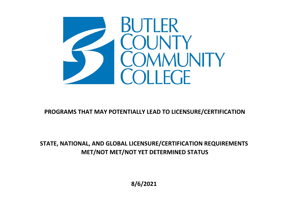

## **PROGRAMS THAT MAY POTENTIALLY LEAD TO LICENSURE/CERTIFICATION**

## **STATE, NATIONAL, AND GLOBAL LICENSURE/CERTIFICATION REQUIREMENTS MET/NOT MET/NOT YET DETERMINED STATUS**

**8/6/2021**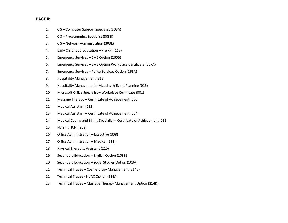## **PAGE #:**

- 1.CIS – Computer Support Specialist (303A)
- 2.CIS – Programming Specialist (303B)
- 3.CIS – Network Administration (303E)
- 4.Early Childhood Education – Pre K‐4 (112)
- 5.Emergency Services – EMS Option (265B)
- 6.Emergency Services – EMS Option Workplace Certificate (067A)
- 7.Emergency Services – Police Services Option (265A)
- 8.Hospitality Management (318)
- 9.Hospitality Management ‐ Meeting & Event Planning (018)
- 10.Microsoft Office Specialist – Workplace Certificate (001)
- 11.Massage Therapy – Certificate of Achievement (050)
- 12.Medical Assistant (212)
- 13.Medical Assistant – Certificate of Achievement (054)
- 14.Medical Coding and Billing Specialist – Certificate of Achievement (055)
- 15.Nursing, R.N. (208)
- 16.Office Administration – Executive (308)
- 17.Office Administration – Medical (312)
- 18.Physical Therapist Assistant (215)
- 19.Secondary Education – English Option (103B)
- 20.Secondary Education – Social Studies Option (103A)
- 21.Technical Trades – Cosmetology Management (314B)
- 22.Technical Trades ‐ HVAC Option (314A)
- 23.Technical Trades – Massage Therapy Management Option (314D)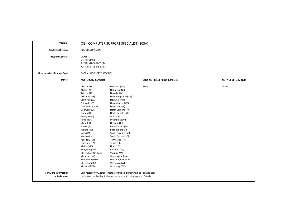| Program:                                      |                                                                                                                                                                                                                                                                                                                                                                                                                                 | CIS - COMPUTER SUPPORT SPECIALIST (303A)                                                                                                                                                                                                                                                                                                                                                                                                                          |                            |                           |
|-----------------------------------------------|---------------------------------------------------------------------------------------------------------------------------------------------------------------------------------------------------------------------------------------------------------------------------------------------------------------------------------------------------------------------------------------------------------------------------------|-------------------------------------------------------------------------------------------------------------------------------------------------------------------------------------------------------------------------------------------------------------------------------------------------------------------------------------------------------------------------------------------------------------------------------------------------------------------|----------------------------|---------------------------|
| <b>Academic Division:</b>                     | <b>BUSINESS DIVISION</b>                                                                                                                                                                                                                                                                                                                                                                                                        |                                                                                                                                                                                                                                                                                                                                                                                                                                                                   |                            |                           |
| <b>Program Contact:</b>                       | <b>DEAN:</b><br><b>SHERRI MACK</b><br>SHERRI.MACK@BC3.EDU<br>724-287-8711 ext. 8247                                                                                                                                                                                                                                                                                                                                             |                                                                                                                                                                                                                                                                                                                                                                                                                                                                   |                            |                           |
| <b>Licensure/Certification Type:</b>          | <b>GLOBAL (NOT STATE-SPECIFIC)</b>                                                                                                                                                                                                                                                                                                                                                                                              |                                                                                                                                                                                                                                                                                                                                                                                                                                                                   |                            |                           |
| States:                                       | <b>MEETS REQUIREMENTS</b>                                                                                                                                                                                                                                                                                                                                                                                                       |                                                                                                                                                                                                                                                                                                                                                                                                                                                                   | DOES NOT MEET REQUIREMENTS | <b>NOT YET DETERMINED</b> |
|                                               | Alabama (AL)<br>Alaska (AK)<br>Arizona (AZ)<br>Arkansas (AR)<br>California (CA)<br>Colorado (CO)<br>Connecticut (CT)<br>Delaware (DE)<br>Florida (FL)<br>Georgia (GA)<br>Hawaii (HI)<br>Idaho (ID)<br>Illinois (IL)<br>Indiana (IN)<br>lowa (IA)<br>Kansas (KS)<br>Kentucky (KY)<br>Louisiana (LA)<br>Maine (ME)<br>Maryland (MD)<br>Massachusetts (MA)<br>Michigan (MI)<br>Minnesota (MN)<br>Mississippi (MS)<br>Missouri (MO) | Montana (MT)<br>Nebraska (NE)<br>Nevada (NV)<br>New Hampshire (NH)<br>New Jersey (NJ)<br>New Mexico (NM)<br>New York (NY)<br>North Carolina (NC)<br>North Dakota (ND)<br>Ohio (OH)<br>Oklahoma (OK)<br>Oregon (OR)<br>Pennsylvania (PA)<br>Rhode Island (RI)<br>South Carolina (SC)<br>South Dakota (SD)<br>Tennessee (TN)<br>Texas (TX)<br>Utah (UT)<br>Vermont (VT)<br>Virginia (VA)<br>Washington (WA)<br>West Virginia (WV)<br>Wisconsin (WI)<br>Wyoming (WY) | None                       | None                      |
| <b>For More Information</b><br>or Assistance: |                                                                                                                                                                                                                                                                                                                                                                                                                                 | Visit https://www.careeronestop.org/Toolkit/Training/find-licenses.aspx<br>or contact the Academic Dean associated with this program of study.                                                                                                                                                                                                                                                                                                                    |                            |                           |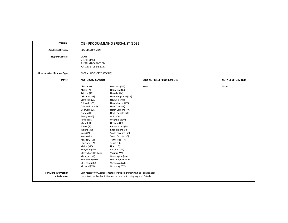| Program:                                      |                                                                                                                                                                                                                                                                                                                                                                                                                                 | CIS - PROGRAMMING SPECIALIST (303B)                                                                                                                                                                                                                                                                                                                                                                                                                               |                            |                           |
|-----------------------------------------------|---------------------------------------------------------------------------------------------------------------------------------------------------------------------------------------------------------------------------------------------------------------------------------------------------------------------------------------------------------------------------------------------------------------------------------|-------------------------------------------------------------------------------------------------------------------------------------------------------------------------------------------------------------------------------------------------------------------------------------------------------------------------------------------------------------------------------------------------------------------------------------------------------------------|----------------------------|---------------------------|
| <b>Academic Division:</b>                     | <b>BUSINESS DIVISION</b>                                                                                                                                                                                                                                                                                                                                                                                                        |                                                                                                                                                                                                                                                                                                                                                                                                                                                                   |                            |                           |
| <b>Program Contact:</b>                       | <b>DEAN:</b><br><b>SHERRI MACK</b><br>SHERRI.MACK@BC3.EDU<br>724-287-8711 ext. 8247                                                                                                                                                                                                                                                                                                                                             |                                                                                                                                                                                                                                                                                                                                                                                                                                                                   |                            |                           |
| <b>Licensure/Certification Type:</b>          | <b>GLOBAL (NOT STATE-SPECIFIC)</b>                                                                                                                                                                                                                                                                                                                                                                                              |                                                                                                                                                                                                                                                                                                                                                                                                                                                                   |                            |                           |
| States:                                       | <b>MEETS REQUIREMENTS</b>                                                                                                                                                                                                                                                                                                                                                                                                       |                                                                                                                                                                                                                                                                                                                                                                                                                                                                   | DOES NOT MEET REQUIREMENTS | <b>NOT YET DETERMINED</b> |
|                                               | Alabama (AL)<br>Alaska (AK)<br>Arizona (AZ)<br>Arkansas (AR)<br>California (CA)<br>Colorado (CO)<br>Connecticut (CT)<br>Delaware (DE)<br>Florida (FL)<br>Georgia (GA)<br>Hawaii (HI)<br>Idaho (ID)<br>Illinois (IL)<br>Indiana (IN)<br>lowa (IA)<br>Kansas (KS)<br>Kentucky (KY)<br>Louisiana (LA)<br>Maine (ME)<br>Maryland (MD)<br>Massachusetts (MA)<br>Michigan (MI)<br>Minnesota (MN)<br>Mississippi (MS)<br>Missouri (MO) | Montana (MT)<br>Nebraska (NE)<br>Nevada (NV)<br>New Hampshire (NH)<br>New Jersey (NJ)<br>New Mexico (NM)<br>New York (NY)<br>North Carolina (NC)<br>North Dakota (ND)<br>Ohio (OH)<br>Oklahoma (OK)<br>Oregon (OR)<br>Pennsylvania (PA)<br>Rhode Island (RI)<br>South Carolina (SC)<br>South Dakota (SD)<br>Tennessee (TN)<br>Texas (TX)<br>Utah (UT)<br>Vermont (VT)<br>Virginia (VA)<br>Washington (WA)<br>West Virginia (WV)<br>Wisconsin (WI)<br>Wyoming (WY) | None                       | None                      |
| <b>For More Information</b><br>or Assistance: |                                                                                                                                                                                                                                                                                                                                                                                                                                 | Visit https://www.careeronestop.org/Toolkit/Training/find-licenses.aspx<br>or contact the Academic Dean associated with this program of study.                                                                                                                                                                                                                                                                                                                    |                            |                           |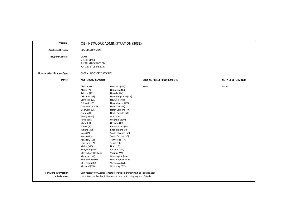| Program:                                      |                                                                                                                                                                                                                                                                                                                                                                                                                                 | CIS - NETWORK ADMINISTRATION (303E)                                                                                                                                                                                                                                                                                                                                                                                                                               |                            |                           |
|-----------------------------------------------|---------------------------------------------------------------------------------------------------------------------------------------------------------------------------------------------------------------------------------------------------------------------------------------------------------------------------------------------------------------------------------------------------------------------------------|-------------------------------------------------------------------------------------------------------------------------------------------------------------------------------------------------------------------------------------------------------------------------------------------------------------------------------------------------------------------------------------------------------------------------------------------------------------------|----------------------------|---------------------------|
| <b>Academic Division:</b>                     | <b>BUSINESS DIVISION</b>                                                                                                                                                                                                                                                                                                                                                                                                        |                                                                                                                                                                                                                                                                                                                                                                                                                                                                   |                            |                           |
| <b>Program Contact:</b>                       | <b>DEAN:</b><br><b>SHERRI MACK</b><br>SHERRI.MACK@BC3.EDU<br>724-287-8711 ext. 8247                                                                                                                                                                                                                                                                                                                                             |                                                                                                                                                                                                                                                                                                                                                                                                                                                                   |                            |                           |
| Licensure/Certification Type:                 | <b>GLOBAL (NOT STATE-SPECIFIC)</b>                                                                                                                                                                                                                                                                                                                                                                                              |                                                                                                                                                                                                                                                                                                                                                                                                                                                                   |                            |                           |
| States:                                       | <b>MEETS REQUIREMENTS</b>                                                                                                                                                                                                                                                                                                                                                                                                       |                                                                                                                                                                                                                                                                                                                                                                                                                                                                   | DOES NOT MEET REQUIREMENTS | <b>NOT YET DETERMINED</b> |
|                                               | Alabama (AL)<br>Alaska (AK)<br>Arizona (AZ)<br>Arkansas (AR)<br>California (CA)<br>Colorado (CO)<br>Connecticut (CT)<br>Delaware (DE)<br>Florida (FL)<br>Georgia (GA)<br>Hawaii (HI)<br>Idaho (ID)<br>Illinois (IL)<br>Indiana (IN)<br>lowa (IA)<br>Kansas (KS)<br>Kentucky (KY)<br>Louisiana (LA)<br>Maine (ME)<br>Maryland (MD)<br>Massachusetts (MA)<br>Michigan (MI)<br>Minnesota (MN)<br>Mississippi (MS)<br>Missouri (MO) | Montana (MT)<br>Nebraska (NE)<br>Nevada (NV)<br>New Hampshire (NH)<br>New Jersey (NJ)<br>New Mexico (NM)<br>New York (NY)<br>North Carolina (NC)<br>North Dakota (ND)<br>Ohio (OH)<br>Oklahoma (OK)<br>Oregon (OR)<br>Pennsylvania (PA)<br>Rhode Island (RI)<br>South Carolina (SC)<br>South Dakota (SD)<br>Tennessee (TN)<br>Texas (TX)<br>Utah (UT)<br>Vermont (VT)<br>Virginia (VA)<br>Washington (WA)<br>West Virginia (WV)<br>Wisconsin (WI)<br>Wyoming (WY) | None                       | None                      |
| <b>For More Information</b><br>or Assistance: |                                                                                                                                                                                                                                                                                                                                                                                                                                 | Visit https://www.careeronestop.org/Toolkit/Training/find-licenses.aspx<br>or contact the Academic Dean associated with this program of study.                                                                                                                                                                                                                                                                                                                    |                            |                           |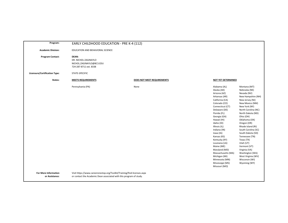| Program:                             | EARLY CHILDHOOD EDUCATION - PRE K-4 (112)                                                  |                            |                                                                                                                                                                                                                                                                                                                                                                                                                                 |                                                                                                                                                                                                                                                                                                                                                                                                                                              |
|--------------------------------------|--------------------------------------------------------------------------------------------|----------------------------|---------------------------------------------------------------------------------------------------------------------------------------------------------------------------------------------------------------------------------------------------------------------------------------------------------------------------------------------------------------------------------------------------------------------------------|----------------------------------------------------------------------------------------------------------------------------------------------------------------------------------------------------------------------------------------------------------------------------------------------------------------------------------------------------------------------------------------------------------------------------------------------|
| <b>Academic Division:</b>            | EDUCATION AND BEHAVIORAL SCIENCE                                                           |                            |                                                                                                                                                                                                                                                                                                                                                                                                                                 |                                                                                                                                                                                                                                                                                                                                                                                                                                              |
| <b>Program Contact:</b>              | <b>DEAN:</b><br>DR. NICHOL ZAGINAYLO<br>NICHOL.ZAGINAYLO@BC3.EDU<br>724-287-8711 ext. 8338 |                            |                                                                                                                                                                                                                                                                                                                                                                                                                                 |                                                                                                                                                                                                                                                                                                                                                                                                                                              |
| <b>Licensure/Certification Type:</b> | STATE-SPECIFIC                                                                             |                            |                                                                                                                                                                                                                                                                                                                                                                                                                                 |                                                                                                                                                                                                                                                                                                                                                                                                                                              |
| States:                              | <b>MEETS REQUIREMENTS</b>                                                                  | DOES NOT MEET REQUIREMENTS | <b>NOT YET DETERMINED</b>                                                                                                                                                                                                                                                                                                                                                                                                       |                                                                                                                                                                                                                                                                                                                                                                                                                                              |
|                                      | Pennsylvania (PA)                                                                          | None                       | Alabama (AL)<br>Alaska (AK)<br>Arizona (AZ)<br>Arkansas (AR)<br>California (CA)<br>Colorado (CO)<br>Connecticut (CT)<br>Delaware (DE)<br>Florida (FL)<br>Georgia (GA)<br>Hawaii (HI)<br>Idaho (ID)<br>Illinois (IL)<br>Indiana (IN)<br>Iowa (IA)<br>Kansas (KS)<br>Kentucky (KY)<br>Louisiana (LA)<br>Maine (ME)<br>Maryland (MD)<br>Massachusetts (MA)<br>Michigan (MI)<br>Minnesota (MN)<br>Mississippi (MS)<br>Missouri (MO) | Montana (MT)<br>Nebraska (NE)<br>Nevada (NV)<br>New Hampshire (NH)<br>New Jersey (NJ)<br>New Mexico (NM)<br>New York (NY)<br>North Carolina (NC)<br>North Dakota (ND)<br>Ohio (OH)<br>Oklahoma (OK)<br>Oregon (OR)<br>Rhode Island (RI)<br>South Carolina (SC)<br>South Dakota (SD)<br>Tennessee (TN)<br>Texas (TX)<br>Utah (UT)<br>Vermont (VT)<br>Virginia (VA)<br>Washington (WA)<br>West Virginia (WV)<br>Wisconsin (WI)<br>Wyoming (WY) |
| <b>For More Information</b>          | Visit https://www.careeronestop.org/Toolkit/Training/find-licenses.aspx                    |                            |                                                                                                                                                                                                                                                                                                                                                                                                                                 |                                                                                                                                                                                                                                                                                                                                                                                                                                              |

or contact the Academic Dean associated with this program of study.

**or Assistance:**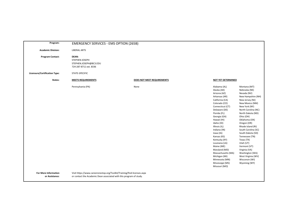| Program:                             | <b>EMERGENCY SERVICES - EMS OPTION (265B)</b>                               |                            |                                                                                                                                                                                                                                                                                                                                                                                                                                                                                                                                                                                                                                                                                                                                                                                                                                                                                 |
|--------------------------------------|-----------------------------------------------------------------------------|----------------------------|---------------------------------------------------------------------------------------------------------------------------------------------------------------------------------------------------------------------------------------------------------------------------------------------------------------------------------------------------------------------------------------------------------------------------------------------------------------------------------------------------------------------------------------------------------------------------------------------------------------------------------------------------------------------------------------------------------------------------------------------------------------------------------------------------------------------------------------------------------------------------------|
| <b>Academic Division:</b>            | <b>LIBERAL ARTS</b>                                                         |                            |                                                                                                                                                                                                                                                                                                                                                                                                                                                                                                                                                                                                                                                                                                                                                                                                                                                                                 |
| <b>Program Contact:</b>              | DEAN:<br>STEPHEN JOSEPH<br>STEPHEN.JOSEPH@BC3.EDU<br>724-287-8711 ext. 8336 |                            |                                                                                                                                                                                                                                                                                                                                                                                                                                                                                                                                                                                                                                                                                                                                                                                                                                                                                 |
| <b>Licensure/Certification Type:</b> | STATE-SPECIFIC                                                              |                            |                                                                                                                                                                                                                                                                                                                                                                                                                                                                                                                                                                                                                                                                                                                                                                                                                                                                                 |
| States:                              | <b>MEETS REQUIREMENTS</b>                                                   | DOES NOT MEET REQUIREMENTS | NOT YET DETERMINED                                                                                                                                                                                                                                                                                                                                                                                                                                                                                                                                                                                                                                                                                                                                                                                                                                                              |
|                                      | Pennsylvania (PA)                                                           | None                       | Montana (MT)<br>Alabama (AL)<br>Alaska (AK)<br>Nebraska (NE)<br>Nevada (NV)<br>Arizona (AZ)<br>Arkansas (AR)<br>New Hampshire (NH)<br>California (CA)<br>New Jersey (NJ)<br>Colorado (CO)<br>New Mexico (NM)<br>Connecticut (CT)<br>New York (NY)<br>North Carolina (NC)<br>Delaware (DE)<br>Florida (FL)<br>North Dakota (ND)<br>Georgia (GA)<br>Ohio (OH)<br>Hawaii (HI)<br>Oklahoma (OK)<br>Idaho (ID)<br>Oregon (OR)<br>Rhode Island (RI)<br>Illinois (IL)<br>South Carolina (SC)<br>Indiana (IN)<br>Iowa (IA)<br>South Dakota (SD)<br>Tennessee (TN)<br>Kansas (KS)<br>Texas (TX)<br>Kentucky (KY)<br>Utah (UT)<br>Louisiana (LA)<br>Maine (ME)<br>Vermont (VT)<br>Maryland (MD)<br>Virginia (VA)<br>Washington (WA)<br>Massachusetts (MA)<br>Michigan (MI)<br>West Virginia (WV)<br>Minnesota (MN)<br>Wisconsin (WI)<br>Mississippi (MS)<br>Wyoming (WY)<br>Missouri (MO) |
| <b>For More Information</b>          | Visit https://www.careeronestop.org/Toolkit/Training/find-licenses.aspx     |                            |                                                                                                                                                                                                                                                                                                                                                                                                                                                                                                                                                                                                                                                                                                                                                                                                                                                                                 |

or contact the Academic Dean associated with this program of study.

**or Assistance:**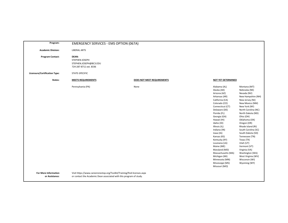| Program:                             | <b>EMERGENCY SERVICES - EMS OPTION (067A)</b>                               |                            |                                                                                                                                                                                                                                                                                                                                                                                                                                                                                                                                                                                                                                                                                                                                                                                                                                                                                 |
|--------------------------------------|-----------------------------------------------------------------------------|----------------------------|---------------------------------------------------------------------------------------------------------------------------------------------------------------------------------------------------------------------------------------------------------------------------------------------------------------------------------------------------------------------------------------------------------------------------------------------------------------------------------------------------------------------------------------------------------------------------------------------------------------------------------------------------------------------------------------------------------------------------------------------------------------------------------------------------------------------------------------------------------------------------------|
| <b>Academic Division:</b>            | <b>LIBERAL ARTS</b>                                                         |                            |                                                                                                                                                                                                                                                                                                                                                                                                                                                                                                                                                                                                                                                                                                                                                                                                                                                                                 |
| <b>Program Contact:</b>              | DEAN:<br>STEPHEN JOSEPH<br>STEPHEN.JOSEPH@BC3.EDU<br>724-287-8711 ext. 8336 |                            |                                                                                                                                                                                                                                                                                                                                                                                                                                                                                                                                                                                                                                                                                                                                                                                                                                                                                 |
| <b>Licensure/Certification Type:</b> | STATE-SPECIFIC                                                              |                            |                                                                                                                                                                                                                                                                                                                                                                                                                                                                                                                                                                                                                                                                                                                                                                                                                                                                                 |
| States:                              | <b>MEETS REQUIREMENTS</b>                                                   | DOES NOT MEET REQUIREMENTS | NOT YET DETERMINED                                                                                                                                                                                                                                                                                                                                                                                                                                                                                                                                                                                                                                                                                                                                                                                                                                                              |
|                                      | Pennsylvania (PA)                                                           | None                       | Montana (MT)<br>Alabama (AL)<br>Alaska (AK)<br>Nebraska (NE)<br>Nevada (NV)<br>Arizona (AZ)<br>Arkansas (AR)<br>New Hampshire (NH)<br>California (CA)<br>New Jersey (NJ)<br>Colorado (CO)<br>New Mexico (NM)<br>Connecticut (CT)<br>New York (NY)<br>North Carolina (NC)<br>Delaware (DE)<br>Florida (FL)<br>North Dakota (ND)<br>Georgia (GA)<br>Ohio (OH)<br>Hawaii (HI)<br>Oklahoma (OK)<br>Idaho (ID)<br>Oregon (OR)<br>Rhode Island (RI)<br>Illinois (IL)<br>South Carolina (SC)<br>Indiana (IN)<br>Iowa (IA)<br>South Dakota (SD)<br>Tennessee (TN)<br>Kansas (KS)<br>Texas (TX)<br>Kentucky (KY)<br>Utah (UT)<br>Louisiana (LA)<br>Maine (ME)<br>Vermont (VT)<br>Maryland (MD)<br>Virginia (VA)<br>Washington (WA)<br>Massachusetts (MA)<br>Michigan (MI)<br>West Virginia (WV)<br>Minnesota (MN)<br>Wisconsin (WI)<br>Mississippi (MS)<br>Wyoming (WY)<br>Missouri (MO) |
| <b>For More Information</b>          | Visit https://www.careeronestop.org/Toolkit/Training/find-licenses.aspx     |                            |                                                                                                                                                                                                                                                                                                                                                                                                                                                                                                                                                                                                                                                                                                                                                                                                                                                                                 |

or contact the Academic Dean associated with this program of study.

**or Assistance:**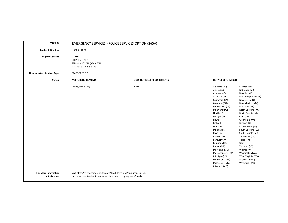| Program:                                      | <b>EMERGENCY SERVICES - POLICE SERVICES OPTION (265A)</b>                                                                                      |                            |                                                                                                                                                                                                                                                                                                                                                                                                                                 |                                                                                                                                                                                                                                                                                                                                                                                                                                              |
|-----------------------------------------------|------------------------------------------------------------------------------------------------------------------------------------------------|----------------------------|---------------------------------------------------------------------------------------------------------------------------------------------------------------------------------------------------------------------------------------------------------------------------------------------------------------------------------------------------------------------------------------------------------------------------------|----------------------------------------------------------------------------------------------------------------------------------------------------------------------------------------------------------------------------------------------------------------------------------------------------------------------------------------------------------------------------------------------------------------------------------------------|
| <b>Academic Division:</b>                     | <b>LIBERAL ARTS</b>                                                                                                                            |                            |                                                                                                                                                                                                                                                                                                                                                                                                                                 |                                                                                                                                                                                                                                                                                                                                                                                                                                              |
| <b>Program Contact:</b>                       | DEAN:<br>STEPHEN JOSEPH<br>STEPHEN.JOSEPH@BC3.EDU<br>724-287-8711 ext. 8336                                                                    |                            |                                                                                                                                                                                                                                                                                                                                                                                                                                 |                                                                                                                                                                                                                                                                                                                                                                                                                                              |
| <b>Licensure/Certification Type:</b>          | STATE-SPECIFIC                                                                                                                                 |                            |                                                                                                                                                                                                                                                                                                                                                                                                                                 |                                                                                                                                                                                                                                                                                                                                                                                                                                              |
| States:                                       | <b>MEETS REQUIREMENTS</b>                                                                                                                      | DOES NOT MEET REQUIREMENTS | <b>NOT YET DETERMINED</b>                                                                                                                                                                                                                                                                                                                                                                                                       |                                                                                                                                                                                                                                                                                                                                                                                                                                              |
|                                               | Pennsylvania (PA)                                                                                                                              | None                       | Alabama (AL)<br>Alaska (AK)<br>Arizona (AZ)<br>Arkansas (AR)<br>California (CA)<br>Colorado (CO)<br>Connecticut (CT)<br>Delaware (DE)<br>Florida (FL)<br>Georgia (GA)<br>Hawaii (HI)<br>Idaho (ID)<br>Illinois (IL)<br>Indiana (IN)<br>Iowa (IA)<br>Kansas (KS)<br>Kentucky (KY)<br>Louisiana (LA)<br>Maine (ME)<br>Maryland (MD)<br>Massachusetts (MA)<br>Michigan (MI)<br>Minnesota (MN)<br>Mississippi (MS)<br>Missouri (MO) | Montana (MT)<br>Nebraska (NE)<br>Nevada (NV)<br>New Hampshire (NH)<br>New Jersey (NJ)<br>New Mexico (NM)<br>New York (NY)<br>North Carolina (NC)<br>North Dakota (ND)<br>Ohio (OH)<br>Oklahoma (OK)<br>Oregon (OR)<br>Rhode Island (RI)<br>South Carolina (SC)<br>South Dakota (SD)<br>Tennessee (TN)<br>Texas (TX)<br>Utah (UT)<br>Vermont (VT)<br>Virginia (VA)<br>Washington (WA)<br>West Virginia (WV)<br>Wisconsin (WI)<br>Wyoming (WY) |
| <b>For More Information</b><br>or Assistance: | Visit https://www.careeronestop.org/Toolkit/Training/find-licenses.aspx<br>or contact the Academic Dean associated with this program of study. |                            |                                                                                                                                                                                                                                                                                                                                                                                                                                 |                                                                                                                                                                                                                                                                                                                                                                                                                                              |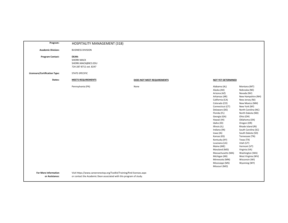| Program:                                      | HOSPITALITY MANAGEMENT (318)                                                                                                                   |                            |                                                                                                                                                                                                                                                                                                                                                                                                                                 |                                                                                                                                                                                                                                                                                                                                                                                                                                              |
|-----------------------------------------------|------------------------------------------------------------------------------------------------------------------------------------------------|----------------------------|---------------------------------------------------------------------------------------------------------------------------------------------------------------------------------------------------------------------------------------------------------------------------------------------------------------------------------------------------------------------------------------------------------------------------------|----------------------------------------------------------------------------------------------------------------------------------------------------------------------------------------------------------------------------------------------------------------------------------------------------------------------------------------------------------------------------------------------------------------------------------------------|
| <b>Academic Division:</b>                     | <b>BUSINESS DIVISION</b>                                                                                                                       |                            |                                                                                                                                                                                                                                                                                                                                                                                                                                 |                                                                                                                                                                                                                                                                                                                                                                                                                                              |
| <b>Program Contact:</b>                       | <b>DEAN:</b><br><b>SHERRI MACK</b><br>SHERRI.MACK@BC3.EDU<br>724-287-8711 ext. 8247                                                            |                            |                                                                                                                                                                                                                                                                                                                                                                                                                                 |                                                                                                                                                                                                                                                                                                                                                                                                                                              |
| <b>Licensure/Certification Type:</b>          | STATE-SPECIFIC                                                                                                                                 |                            |                                                                                                                                                                                                                                                                                                                                                                                                                                 |                                                                                                                                                                                                                                                                                                                                                                                                                                              |
| States:                                       | <b>MEETS REQUIREMENTS</b>                                                                                                                      | DOES NOT MEET REQUIREMENTS | <b>NOT YET DETERMINED</b>                                                                                                                                                                                                                                                                                                                                                                                                       |                                                                                                                                                                                                                                                                                                                                                                                                                                              |
|                                               | Pennsylvania (PA)                                                                                                                              | None                       | Alabama (AL)<br>Alaska (AK)<br>Arizona (AZ)<br>Arkansas (AR)<br>California (CA)<br>Colorado (CO)<br>Connecticut (CT)<br>Delaware (DE)<br>Florida (FL)<br>Georgia (GA)<br>Hawaii (HI)<br>Idaho (ID)<br>Illinois (IL)<br>Indiana (IN)<br>Iowa (IA)<br>Kansas (KS)<br>Kentucky (KY)<br>Louisiana (LA)<br>Maine (ME)<br>Maryland (MD)<br>Massachusetts (MA)<br>Michigan (MI)<br>Minnesota (MN)<br>Mississippi (MS)<br>Missouri (MO) | Montana (MT)<br>Nebraska (NE)<br>Nevada (NV)<br>New Hampshire (NH)<br>New Jersey (NJ)<br>New Mexico (NM)<br>New York (NY)<br>North Carolina (NC)<br>North Dakota (ND)<br>Ohio (OH)<br>Oklahoma (OK)<br>Oregon (OR)<br>Rhode Island (RI)<br>South Carolina (SC)<br>South Dakota (SD)<br>Tennessee (TN)<br>Texas (TX)<br>Utah (UT)<br>Vermont (VT)<br>Virginia (VA)<br>Washington (WA)<br>West Virginia (WV)<br>Wisconsin (WI)<br>Wyoming (WY) |
| <b>For More Information</b><br>or Assistance: | Visit https://www.careeronestop.org/Toolkit/Training/find-licenses.aspx<br>or contact the Academic Dean associated with this program of study. |                            |                                                                                                                                                                                                                                                                                                                                                                                                                                 |                                                                                                                                                                                                                                                                                                                                                                                                                                              |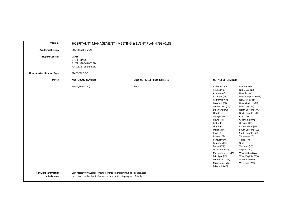| Program:                                      |                                                                                                                                                | HOSPITALITY MANAGEMENT - MEETING & EVENT PLANNING (018) |                                                                                                                                                                                                                                                                                                                                                                                                                                 |                                                                                                                                                                                                                                                                                                                                                                                                                                              |
|-----------------------------------------------|------------------------------------------------------------------------------------------------------------------------------------------------|---------------------------------------------------------|---------------------------------------------------------------------------------------------------------------------------------------------------------------------------------------------------------------------------------------------------------------------------------------------------------------------------------------------------------------------------------------------------------------------------------|----------------------------------------------------------------------------------------------------------------------------------------------------------------------------------------------------------------------------------------------------------------------------------------------------------------------------------------------------------------------------------------------------------------------------------------------|
| <b>Academic Division:</b>                     | <b>BUSINESS DIVISION</b>                                                                                                                       |                                                         |                                                                                                                                                                                                                                                                                                                                                                                                                                 |                                                                                                                                                                                                                                                                                                                                                                                                                                              |
| <b>Program Contact:</b>                       | DEAN:<br><b>SHERRI MACK</b><br>SHERRI.MACK@BC3.EDU<br>724-287-8711 ext. 8247                                                                   |                                                         |                                                                                                                                                                                                                                                                                                                                                                                                                                 |                                                                                                                                                                                                                                                                                                                                                                                                                                              |
| Licensure/Certification Type:                 | STATE-SPECIFIC                                                                                                                                 |                                                         |                                                                                                                                                                                                                                                                                                                                                                                                                                 |                                                                                                                                                                                                                                                                                                                                                                                                                                              |
| States:                                       | <b>MEETS REQUIREMENTS</b>                                                                                                                      | DOES NOT MEET REQUIREMENTS                              | NOT YET DETERMINED                                                                                                                                                                                                                                                                                                                                                                                                              |                                                                                                                                                                                                                                                                                                                                                                                                                                              |
|                                               | Pennsylvania (PA)                                                                                                                              | None                                                    | Alabama (AL)<br>Alaska (AK)<br>Arizona (AZ)<br>Arkansas (AR)<br>California (CA)<br>Colorado (CO)<br>Connecticut (CT)<br>Delaware (DE)<br>Florida (FL)<br>Georgia (GA)<br>Hawaii (HI)<br>Idaho (ID)<br>Illinois (IL)<br>Indiana (IN)<br>lowa (IA)<br>Kansas (KS)<br>Kentucky (KY)<br>Louisiana (LA)<br>Maine (ME)<br>Maryland (MD)<br>Massachusetts (MA)<br>Michigan (MI)<br>Minnesota (MN)<br>Mississippi (MS)<br>Missouri (MO) | Montana (MT)<br>Nebraska (NE)<br>Nevada (NV)<br>New Hampshire (NH)<br>New Jersey (NJ)<br>New Mexico (NM)<br>New York (NY)<br>North Carolina (NC)<br>North Dakota (ND)<br>Ohio (OH)<br>Oklahoma (OK)<br>Oregon (OR)<br>Rhode Island (RI)<br>South Carolina (SC)<br>South Dakota (SD)<br>Tennessee (TN)<br>Texas (TX)<br>Utah (UT)<br>Vermont (VT)<br>Virginia (VA)<br>Washington (WA)<br>West Virginia (WV)<br>Wisconsin (WI)<br>Wyoming (WY) |
| <b>For More Information</b><br>or Assistance: | Visit https://www.careeronestop.org/Toolkit/Training/find-licenses.aspx<br>or contact the Academic Dean associated with this program of study. |                                                         |                                                                                                                                                                                                                                                                                                                                                                                                                                 |                                                                                                                                                                                                                                                                                                                                                                                                                                              |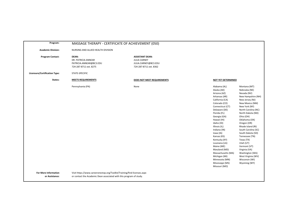| Program:                                      | MASSAGE THERAPY - CERTIFICATE OF ACHIEVEMENT (050)                                                                                             |                                                                                                 |                                                                                                                                                                                                                                                                                                                                                                                                                                                                                                                                                                                                                                                                                                                                                                                                                                                                                 |  |
|-----------------------------------------------|------------------------------------------------------------------------------------------------------------------------------------------------|-------------------------------------------------------------------------------------------------|---------------------------------------------------------------------------------------------------------------------------------------------------------------------------------------------------------------------------------------------------------------------------------------------------------------------------------------------------------------------------------------------------------------------------------------------------------------------------------------------------------------------------------------------------------------------------------------------------------------------------------------------------------------------------------------------------------------------------------------------------------------------------------------------------------------------------------------------------------------------------------|--|
| <b>Academic Division:</b>                     | NURSING AND ALLIED HEALTH DIVISION                                                                                                             |                                                                                                 |                                                                                                                                                                                                                                                                                                                                                                                                                                                                                                                                                                                                                                                                                                                                                                                                                                                                                 |  |
| <b>Program Contact:</b>                       | <b>DEAN:</b><br>DR. PATRICIA ANNEAR<br>PATRICIA.ANNEAR@BC3.EDU<br>724-287-8711 ext. 8275                                                       | <b>ASSISTANT DEAN:</b><br><b>JULIA CARNEY</b><br>JULIA.CARNEY@BC3.EDU<br>724-287-8711 ext. 8362 |                                                                                                                                                                                                                                                                                                                                                                                                                                                                                                                                                                                                                                                                                                                                                                                                                                                                                 |  |
| <b>Licensure/Certification Type:</b>          | STATE-SPECIFIC                                                                                                                                 |                                                                                                 |                                                                                                                                                                                                                                                                                                                                                                                                                                                                                                                                                                                                                                                                                                                                                                                                                                                                                 |  |
| States:                                       | <b>MEETS REQUIREMENTS</b>                                                                                                                      | DOES NOT MEET REQUIREMENTS                                                                      | <b>NOT YET DETERMINED</b>                                                                                                                                                                                                                                                                                                                                                                                                                                                                                                                                                                                                                                                                                                                                                                                                                                                       |  |
|                                               | Pennsylvania (PA)                                                                                                                              | None                                                                                            | Montana (MT)<br>Alabama (AL)<br>Alaska (AK)<br>Nebraska (NE)<br>Arizona (AZ)<br>Nevada (NV)<br>Arkansas (AR)<br>New Hampshire (NH)<br>New Jersey (NJ)<br>California (CA)<br>Colorado (CO)<br>New Mexico (NM)<br>New York (NY)<br>Connecticut (CT)<br>Delaware (DE)<br>North Carolina (NC)<br>Florida (FL)<br>North Dakota (ND)<br>Ohio (OH)<br>Georgia (GA)<br>Hawaii (HI)<br>Oklahoma (OK)<br>Idaho (ID)<br>Oregon (OR)<br>Rhode Island (RI)<br>Illinois (IL)<br>South Carolina (SC)<br>Indiana (IN)<br>Iowa (IA)<br>South Dakota (SD)<br>Kansas (KS)<br>Tennessee (TN)<br>Kentucky (KY)<br>Texas (TX)<br>Louisiana (LA)<br>Utah (UT)<br>Vermont (VT)<br>Maine (ME)<br>Maryland (MD)<br>Virginia (VA)<br>Washington (WA)<br>Massachusetts (MA)<br>Michigan (MI)<br>West Virginia (WV)<br>Minnesota (MN)<br>Wisconsin (WI)<br>Mississippi (MS)<br>Wyoming (WY)<br>Missouri (MO) |  |
| <b>For More Information</b><br>or Assistance: | Visit https://www.careeronestop.org/Toolkit/Training/find-licenses.aspx<br>or contact the Academic Dean associated with this program of study. |                                                                                                 |                                                                                                                                                                                                                                                                                                                                                                                                                                                                                                                                                                                                                                                                                                                                                                                                                                                                                 |  |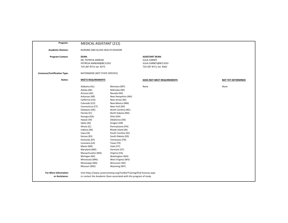| Program:                                      | MEDICAL ASSISTANT (212)                                                                                                                                                                                                                                                                                                                                                                                                         |                                                                                                                                                                                                                                                                                                                                                                                                                                                                   |                                                                                                 |                           |
|-----------------------------------------------|---------------------------------------------------------------------------------------------------------------------------------------------------------------------------------------------------------------------------------------------------------------------------------------------------------------------------------------------------------------------------------------------------------------------------------|-------------------------------------------------------------------------------------------------------------------------------------------------------------------------------------------------------------------------------------------------------------------------------------------------------------------------------------------------------------------------------------------------------------------------------------------------------------------|-------------------------------------------------------------------------------------------------|---------------------------|
| <b>Academic Division:</b>                     | NURSING AND ALLIED HEALTH DIVISION                                                                                                                                                                                                                                                                                                                                                                                              |                                                                                                                                                                                                                                                                                                                                                                                                                                                                   |                                                                                                 |                           |
| <b>Program Contact:</b>                       | <b>DEAN:</b><br>DR. PATRICIA ANNEAR<br>PATRICIA.ANNEAR@BC3.EDU<br>724-287-8711 ext. 8275                                                                                                                                                                                                                                                                                                                                        |                                                                                                                                                                                                                                                                                                                                                                                                                                                                   | <b>ASSISTANT DEAN:</b><br><b>JULIA CARNEY</b><br>JULIA.CARNEY@BC3.EDU<br>724-287-8711 ext. 8362 |                           |
| Licensure/Certification Type:                 | NATIONWIDE (NOT STATE-SPECIFIC)                                                                                                                                                                                                                                                                                                                                                                                                 |                                                                                                                                                                                                                                                                                                                                                                                                                                                                   |                                                                                                 |                           |
| States:                                       | <b>MEETS REQUIREMENTS</b>                                                                                                                                                                                                                                                                                                                                                                                                       |                                                                                                                                                                                                                                                                                                                                                                                                                                                                   | DOES NOT MEET REQUIREMENTS                                                                      | <b>NOT YET DETERMINED</b> |
|                                               | Alabama (AL)<br>Alaska (AK)<br>Arizona (AZ)<br>Arkansas (AR)<br>California (CA)<br>Colorado (CO)<br>Connecticut (CT)<br>Delaware (DE)<br>Florida (FL)<br>Georgia (GA)<br>Hawaii (HI)<br>Idaho (ID)<br>Illinois (IL)<br>Indiana (IN)<br>Iowa (IA)<br>Kansas (KS)<br>Kentucky (KY)<br>Louisiana (LA)<br>Maine (ME)<br>Maryland (MD)<br>Massachusetts (MA)<br>Michigan (MI)<br>Minnesota (MN)<br>Mississippi (MS)<br>Missouri (MO) | Montana (MT)<br>Nebraska (NE)<br>Nevada (NV)<br>New Hampshire (NH)<br>New Jersey (NJ)<br>New Mexico (NM)<br>New York (NY)<br>North Carolina (NC)<br>North Dakota (ND)<br>Ohio (OH)<br>Oklahoma (OK)<br>Oregon (OR)<br>Pennsylvania (PA)<br>Rhode Island (RI)<br>South Carolina (SC)<br>South Dakota (SD)<br>Tennessee (TN)<br>Texas (TX)<br>Utah (UT)<br>Vermont (VT)<br>Virginia (VA)<br>Washington (WA)<br>West Virginia (WV)<br>Wisconsin (WI)<br>Wyoming (WY) | None                                                                                            | None                      |
| <b>For More Information</b><br>or Assistance: |                                                                                                                                                                                                                                                                                                                                                                                                                                 | Visit https://www.careeronestop.org/Toolkit/Training/find-licenses.aspx<br>or contact the Academic Dean associated with this program of study.                                                                                                                                                                                                                                                                                                                    |                                                                                                 |                           |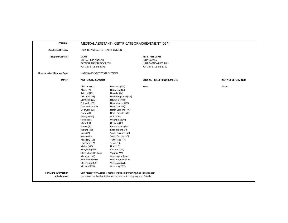| Program:                                      |                                                                                                                                                                                                                                                                                                                                                                                                                                 |                                                                                                                                                                                                                                                                                                                                                                                                                                                                   | MEDICAL ASSISTANT - CERTIFICATE OF ACHIEVEMENT (054)                                            |                           |
|-----------------------------------------------|---------------------------------------------------------------------------------------------------------------------------------------------------------------------------------------------------------------------------------------------------------------------------------------------------------------------------------------------------------------------------------------------------------------------------------|-------------------------------------------------------------------------------------------------------------------------------------------------------------------------------------------------------------------------------------------------------------------------------------------------------------------------------------------------------------------------------------------------------------------------------------------------------------------|-------------------------------------------------------------------------------------------------|---------------------------|
| <b>Academic Division:</b>                     | NURSING AND ALLIED HEALTH DIVISION                                                                                                                                                                                                                                                                                                                                                                                              |                                                                                                                                                                                                                                                                                                                                                                                                                                                                   |                                                                                                 |                           |
| <b>Program Contact:</b>                       | DEAN:<br>DR. PATRICIA ANNEAR<br>PATRICIA.ANNEAR@BC3.EDU<br>724-287-8711 ext. 8275                                                                                                                                                                                                                                                                                                                                               |                                                                                                                                                                                                                                                                                                                                                                                                                                                                   | <b>ASSISTANT DEAN:</b><br><b>JULIA CARNEY</b><br>JULIA.CARNEY@BC3.EDU<br>724-287-8711 ext. 8362 |                           |
| <b>Licensure/Certification Type:</b>          | NATIONWIDE (NOT STATE-SPECIFIC)                                                                                                                                                                                                                                                                                                                                                                                                 |                                                                                                                                                                                                                                                                                                                                                                                                                                                                   |                                                                                                 |                           |
| States:                                       | <b>MEETS REQUIREMENTS</b>                                                                                                                                                                                                                                                                                                                                                                                                       |                                                                                                                                                                                                                                                                                                                                                                                                                                                                   | DOES NOT MEET REQUIREMENTS                                                                      | <b>NOT YET DETERMINED</b> |
|                                               | Alabama (AL)<br>Alaska (AK)<br>Arizona (AZ)<br>Arkansas (AR)<br>California (CA)<br>Colorado (CO)<br>Connecticut (CT)<br>Delaware (DE)<br>Florida (FL)<br>Georgia (GA)<br>Hawaii (HI)<br>Idaho (ID)<br>Illinois (IL)<br>Indiana (IN)<br>Iowa (IA)<br>Kansas (KS)<br>Kentucky (KY)<br>Louisiana (LA)<br>Maine (ME)<br>Maryland (MD)<br>Massachusetts (MA)<br>Michigan (MI)<br>Minnesota (MN)<br>Mississippi (MS)<br>Missouri (MO) | Montana (MT)<br>Nebraska (NE)<br>Nevada (NV)<br>New Hampshire (NH)<br>New Jersey (NJ)<br>New Mexico (NM)<br>New York (NY)<br>North Carolina (NC)<br>North Dakota (ND)<br>Ohio (OH)<br>Oklahoma (OK)<br>Oregon (OR)<br>Pennsylvania (PA)<br>Rhode Island (RI)<br>South Carolina (SC)<br>South Dakota (SD)<br>Tennessee (TN)<br>Texas (TX)<br>Utah (UT)<br>Vermont (VT)<br>Virginia (VA)<br>Washington (WA)<br>West Virginia (WV)<br>Wisconsin (WI)<br>Wyoming (WY) | None                                                                                            | None                      |
| <b>For More Information</b><br>or Assistance: |                                                                                                                                                                                                                                                                                                                                                                                                                                 | Visit https://www.careeronestop.org/Toolkit/Training/find-licenses.aspx<br>or contact the Academic Dean associated with this program of study.                                                                                                                                                                                                                                                                                                                    |                                                                                                 |                           |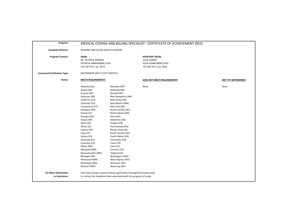| Program:                                      |                                                                                                                                                                                                                                                                                                                                                                                                                                 |                                                                                                                                                                                                                                                                                                                                                                                                                                                                   | MEDICAL CODING AND BILLING SPECIALIST - CERTIFICATE OF ACHIEVEMENT (055)                        |                           |
|-----------------------------------------------|---------------------------------------------------------------------------------------------------------------------------------------------------------------------------------------------------------------------------------------------------------------------------------------------------------------------------------------------------------------------------------------------------------------------------------|-------------------------------------------------------------------------------------------------------------------------------------------------------------------------------------------------------------------------------------------------------------------------------------------------------------------------------------------------------------------------------------------------------------------------------------------------------------------|-------------------------------------------------------------------------------------------------|---------------------------|
| <b>Academic Division:</b>                     | NURSING AND ALLIED HEALTH DIVISION                                                                                                                                                                                                                                                                                                                                                                                              |                                                                                                                                                                                                                                                                                                                                                                                                                                                                   |                                                                                                 |                           |
| <b>Program Contact:</b>                       | DEAN:<br>DR. PATRICIA ANNEAR<br>PATRICIA.ANNEAR@BC3.EDU<br>724-287-8711 ext. 8275                                                                                                                                                                                                                                                                                                                                               |                                                                                                                                                                                                                                                                                                                                                                                                                                                                   | <b>ASSISTANT DEAN:</b><br><b>JULIA CARNEY</b><br>JULIA.CARNEY@BC3.EDU<br>724-287-8711 ext. 8362 |                           |
| Licensure/Certification Type:                 | NATIONWIDE (NOT STATE-SPECIFIC)                                                                                                                                                                                                                                                                                                                                                                                                 |                                                                                                                                                                                                                                                                                                                                                                                                                                                                   |                                                                                                 |                           |
| States:                                       | <b>MEETS REQUIREMENTS</b>                                                                                                                                                                                                                                                                                                                                                                                                       |                                                                                                                                                                                                                                                                                                                                                                                                                                                                   | DOES NOT MEET REQUIREMENTS                                                                      | <b>NOT YET DETERMINED</b> |
|                                               | Alabama (AL)<br>Alaska (AK)<br>Arizona (AZ)<br>Arkansas (AR)<br>California (CA)<br>Colorado (CO)<br>Connecticut (CT)<br>Delaware (DE)<br>Florida (FL)<br>Georgia (GA)<br>Hawaii (HI)<br>Idaho (ID)<br>Illinois (IL)<br>Indiana (IN)<br>lowa (IA)<br>Kansas (KS)<br>Kentucky (KY)<br>Louisiana (LA)<br>Maine (ME)<br>Maryland (MD)<br>Massachusetts (MA)<br>Michigan (MI)<br>Minnesota (MN)<br>Mississippi (MS)<br>Missouri (MO) | Montana (MT)<br>Nebraska (NE)<br>Nevada (NV)<br>New Hampshire (NH)<br>New Jersey (NJ)<br>New Mexico (NM)<br>New York (NY)<br>North Carolina (NC)<br>North Dakota (ND)<br>Ohio (OH)<br>Oklahoma (OK)<br>Oregon (OR)<br>Pennsylvania (PA)<br>Rhode Island (RI)<br>South Carolina (SC)<br>South Dakota (SD)<br>Tennessee (TN)<br>Texas (TX)<br>Utah (UT)<br>Vermont (VT)<br>Virginia (VA)<br>Washington (WA)<br>West Virginia (WV)<br>Wisconsin (WI)<br>Wyoming (WY) | None                                                                                            | None                      |
| <b>For More Information</b><br>or Assistance: |                                                                                                                                                                                                                                                                                                                                                                                                                                 | Visit https://www.careeronestop.org/Toolkit/Training/find-licenses.aspx<br>or contact the Academic Dean associated with this program of study.                                                                                                                                                                                                                                                                                                                    |                                                                                                 |                           |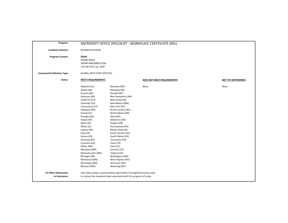| Program:                                      |                                                                                                                                                                                                                                                                                                                                                                                                                                 |                                                                                                                                                                                                                                                                                                                                                                                                                                                                   | MICROSOFT OFFICE SPECIALIST - WORKPLACE CERTIFICATE (001) |                           |
|-----------------------------------------------|---------------------------------------------------------------------------------------------------------------------------------------------------------------------------------------------------------------------------------------------------------------------------------------------------------------------------------------------------------------------------------------------------------------------------------|-------------------------------------------------------------------------------------------------------------------------------------------------------------------------------------------------------------------------------------------------------------------------------------------------------------------------------------------------------------------------------------------------------------------------------------------------------------------|-----------------------------------------------------------|---------------------------|
| <b>Academic Division:</b>                     | <b>BUSINESS DIVISION</b>                                                                                                                                                                                                                                                                                                                                                                                                        |                                                                                                                                                                                                                                                                                                                                                                                                                                                                   |                                                           |                           |
| <b>Program Contact:</b>                       | DEAN:<br><b>SHERRI MACK</b><br>SHERRI.MACK@BC3.EDU<br>724-287-8711 ext. 8247                                                                                                                                                                                                                                                                                                                                                    |                                                                                                                                                                                                                                                                                                                                                                                                                                                                   |                                                           |                           |
| Licensure/Certification Type:                 | <b>GLOBAL (NOT STATE-SPECIFIC)</b>                                                                                                                                                                                                                                                                                                                                                                                              |                                                                                                                                                                                                                                                                                                                                                                                                                                                                   |                                                           |                           |
| States:                                       | <b>MEETS REQUIREMENTS</b>                                                                                                                                                                                                                                                                                                                                                                                                       |                                                                                                                                                                                                                                                                                                                                                                                                                                                                   | DOES NOT MEET REQUIREMENTS                                | <b>NOT YET DETERMINED</b> |
|                                               | Alabama (AL)<br>Alaska (AK)<br>Arizona (AZ)<br>Arkansas (AR)<br>California (CA)<br>Colorado (CO)<br>Connecticut (CT)<br>Delaware (DE)<br>Florida (FL)<br>Georgia (GA)<br>Hawaii (HI)<br>Idaho (ID)<br>Illinois (IL)<br>Indiana (IN)<br>Iowa (IA)<br>Kansas (KS)<br>Kentucky (KY)<br>Louisiana (LA)<br>Maine (ME)<br>Maryland (MD)<br>Massachusetts (MA)<br>Michigan (MI)<br>Minnesota (MN)<br>Mississippi (MS)<br>Missouri (MO) | Montana (MT)<br>Nebraska (NE)<br>Nevada (NV)<br>New Hampshire (NH)<br>New Jersey (NJ)<br>New Mexico (NM)<br>New York (NY)<br>North Carolina (NC)<br>North Dakota (ND)<br>Ohio (OH)<br>Oklahoma (OK)<br>Oregon (OR)<br>Pennsylvania (PA)<br>Rhode Island (RI)<br>South Carolina (SC)<br>South Dakota (SD)<br>Tennessee (TN)<br>Texas (TX)<br>Utah (UT)<br>Vermont (VT)<br>Virginia (VA)<br>Washington (WA)<br>West Virginia (WV)<br>Wisconsin (WI)<br>Wyoming (WY) | None                                                      | None                      |
| <b>For More Information</b><br>or Assistance: |                                                                                                                                                                                                                                                                                                                                                                                                                                 | Visit https://www.careeronestop.org/Toolkit/Training/find-licenses.aspx<br>or contact the Academic Dean associated with this program of study.                                                                                                                                                                                                                                                                                                                    |                                                           |                           |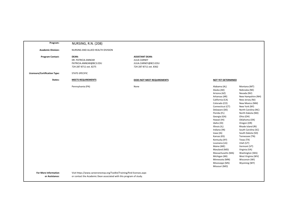| Program:                                      | <b>NURSING, R.N. (208)</b>                                                                                                                     |                                                                                                 |                                                                                                                                                                                                                                                                                                                                                                                                                                 |                                                                                                                                                                                                                                                                                                                                                                                                                                              |
|-----------------------------------------------|------------------------------------------------------------------------------------------------------------------------------------------------|-------------------------------------------------------------------------------------------------|---------------------------------------------------------------------------------------------------------------------------------------------------------------------------------------------------------------------------------------------------------------------------------------------------------------------------------------------------------------------------------------------------------------------------------|----------------------------------------------------------------------------------------------------------------------------------------------------------------------------------------------------------------------------------------------------------------------------------------------------------------------------------------------------------------------------------------------------------------------------------------------|
|                                               |                                                                                                                                                |                                                                                                 |                                                                                                                                                                                                                                                                                                                                                                                                                                 |                                                                                                                                                                                                                                                                                                                                                                                                                                              |
| <b>Academic Division:</b>                     | NURSING AND ALLIED HEALTH DIVISION                                                                                                             |                                                                                                 |                                                                                                                                                                                                                                                                                                                                                                                                                                 |                                                                                                                                                                                                                                                                                                                                                                                                                                              |
| <b>Program Contact:</b>                       | <b>DEAN:</b><br>DR. PATRICIA ANNEAR<br>PATRICIA.ANNEAR@BC3.EDU<br>724-287-8711 ext. 8275                                                       | <b>ASSISTANT DEAN:</b><br><b>JULIA CARNEY</b><br>JULIA.CARNEY@BC3.EDU<br>724-287-8711 ext. 8362 |                                                                                                                                                                                                                                                                                                                                                                                                                                 |                                                                                                                                                                                                                                                                                                                                                                                                                                              |
| <b>Licensure/Certification Type:</b>          | STATE-SPECIFIC                                                                                                                                 |                                                                                                 |                                                                                                                                                                                                                                                                                                                                                                                                                                 |                                                                                                                                                                                                                                                                                                                                                                                                                                              |
| States:                                       | <b>MEETS REQUIREMENTS</b>                                                                                                                      | DOES NOT MEET REQUIREMENTS                                                                      | <b>NOT YET DETERMINED</b>                                                                                                                                                                                                                                                                                                                                                                                                       |                                                                                                                                                                                                                                                                                                                                                                                                                                              |
|                                               | Pennsylvania (PA)                                                                                                                              | None                                                                                            | Alabama (AL)<br>Alaska (AK)<br>Arizona (AZ)<br>Arkansas (AR)<br>California (CA)<br>Colorado (CO)<br>Connecticut (CT)<br>Delaware (DE)<br>Florida (FL)<br>Georgia (GA)<br>Hawaii (HI)<br>Idaho (ID)<br>Illinois (IL)<br>Indiana (IN)<br>lowa (IA)<br>Kansas (KS)<br>Kentucky (KY)<br>Louisiana (LA)<br>Maine (ME)<br>Maryland (MD)<br>Massachusetts (MA)<br>Michigan (MI)<br>Minnesota (MN)<br>Mississippi (MS)<br>Missouri (MO) | Montana (MT)<br>Nebraska (NE)<br>Nevada (NV)<br>New Hampshire (NH)<br>New Jersey (NJ)<br>New Mexico (NM)<br>New York (NY)<br>North Carolina (NC)<br>North Dakota (ND)<br>Ohio (OH)<br>Oklahoma (OK)<br>Oregon (OR)<br>Rhode Island (RI)<br>South Carolina (SC)<br>South Dakota (SD)<br>Tennessee (TN)<br>Texas (TX)<br>Utah (UT)<br>Vermont (VT)<br>Virginia (VA)<br>Washington (WA)<br>West Virginia (WV)<br>Wisconsin (WI)<br>Wyoming (WY) |
| <b>For More Information</b><br>or Assistance: | Visit https://www.careeronestop.org/Toolkit/Training/find-licenses.aspx<br>or contact the Academic Dean associated with this program of study. |                                                                                                 |                                                                                                                                                                                                                                                                                                                                                                                                                                 |                                                                                                                                                                                                                                                                                                                                                                                                                                              |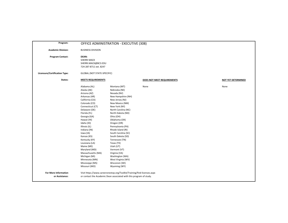| Program:                                      |                                                                                                                                                                                                                                                                                                                                                                                                                                 | OFFICE ADMINISTRATION - EXECUTIVE (308)                                                                                                                                                                                                                                                                                                                                                                                                                           |                            |                           |
|-----------------------------------------------|---------------------------------------------------------------------------------------------------------------------------------------------------------------------------------------------------------------------------------------------------------------------------------------------------------------------------------------------------------------------------------------------------------------------------------|-------------------------------------------------------------------------------------------------------------------------------------------------------------------------------------------------------------------------------------------------------------------------------------------------------------------------------------------------------------------------------------------------------------------------------------------------------------------|----------------------------|---------------------------|
| <b>Academic Division:</b>                     | <b>BUSINESS DIVISION</b>                                                                                                                                                                                                                                                                                                                                                                                                        |                                                                                                                                                                                                                                                                                                                                                                                                                                                                   |                            |                           |
| <b>Program Contact:</b>                       | <b>DEAN:</b><br><b>SHERRI MACK</b><br>SHERRI.MACK@BC3.EDU<br>724-287-8711 ext. 8247                                                                                                                                                                                                                                                                                                                                             |                                                                                                                                                                                                                                                                                                                                                                                                                                                                   |                            |                           |
| Licensure/Certification Type:                 | GLOBAL (NOT STATE-SPECIFIC)                                                                                                                                                                                                                                                                                                                                                                                                     |                                                                                                                                                                                                                                                                                                                                                                                                                                                                   |                            |                           |
| States:                                       | <b>MEETS REQUIREMENTS</b>                                                                                                                                                                                                                                                                                                                                                                                                       |                                                                                                                                                                                                                                                                                                                                                                                                                                                                   | DOES NOT MEET REQUIREMENTS | <b>NOT YET DETERMINED</b> |
|                                               | Alabama (AL)<br>Alaska (AK)<br>Arizona (AZ)<br>Arkansas (AR)<br>California (CA)<br>Colorado (CO)<br>Connecticut (CT)<br>Delaware (DE)<br>Florida (FL)<br>Georgia (GA)<br>Hawaii (HI)<br>Idaho (ID)<br>Illinois (IL)<br>Indiana (IN)<br>lowa (IA)<br>Kansas (KS)<br>Kentucky (KY)<br>Louisiana (LA)<br>Maine (ME)<br>Maryland (MD)<br>Massachusetts (MA)<br>Michigan (MI)<br>Minnesota (MN)<br>Mississippi (MS)<br>Missouri (MO) | Montana (MT)<br>Nebraska (NE)<br>Nevada (NV)<br>New Hampshire (NH)<br>New Jersey (NJ)<br>New Mexico (NM)<br>New York (NY)<br>North Carolina (NC)<br>North Dakota (ND)<br>Ohio (OH)<br>Oklahoma (OK)<br>Oregon (OR)<br>Pennsylvania (PA)<br>Rhode Island (RI)<br>South Carolina (SC)<br>South Dakota (SD)<br>Tennessee (TN)<br>Texas (TX)<br>Utah (UT)<br>Vermont (VT)<br>Virginia (VA)<br>Washington (WA)<br>West Virginia (WV)<br>Wisconsin (WI)<br>Wyoming (WY) | None                       | None                      |
| <b>For More Information</b><br>or Assistance: |                                                                                                                                                                                                                                                                                                                                                                                                                                 | Visit https://www.careeronestop.org/Toolkit/Training/find-licenses.aspx<br>or contact the Academic Dean associated with this program of study.                                                                                                                                                                                                                                                                                                                    |                            |                           |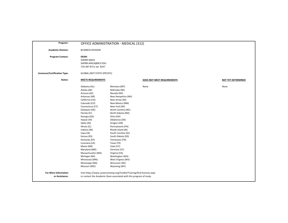| Program:                                      |                                                                                                                                                                                                                                                                                                                                                                                                                                 | OFFICE ADMINISTRATION - MEDICAL (312)                                                                                                                                                                                                                                                                                                                                                                                                                             |                            |                           |
|-----------------------------------------------|---------------------------------------------------------------------------------------------------------------------------------------------------------------------------------------------------------------------------------------------------------------------------------------------------------------------------------------------------------------------------------------------------------------------------------|-------------------------------------------------------------------------------------------------------------------------------------------------------------------------------------------------------------------------------------------------------------------------------------------------------------------------------------------------------------------------------------------------------------------------------------------------------------------|----------------------------|---------------------------|
| <b>Academic Division:</b>                     | <b>BUSINESS DIVISION</b>                                                                                                                                                                                                                                                                                                                                                                                                        |                                                                                                                                                                                                                                                                                                                                                                                                                                                                   |                            |                           |
| <b>Program Contact:</b>                       | DEAN:<br><b>SHERRI MACK</b><br>SHERRI.MACK@BC3.EDU<br>724-287-8711 ext. 8247                                                                                                                                                                                                                                                                                                                                                    |                                                                                                                                                                                                                                                                                                                                                                                                                                                                   |                            |                           |
| <b>Licensure/Certification Type:</b>          | <b>GLOBAL (NOT STATE-SPECIFIC)</b>                                                                                                                                                                                                                                                                                                                                                                                              |                                                                                                                                                                                                                                                                                                                                                                                                                                                                   |                            |                           |
| States:                                       | <b>MEETS REQUIREMENTS</b>                                                                                                                                                                                                                                                                                                                                                                                                       |                                                                                                                                                                                                                                                                                                                                                                                                                                                                   | DOES NOT MEET REQUIREMENTS | <b>NOT YET DETERMINED</b> |
|                                               | Alabama (AL)<br>Alaska (AK)<br>Arizona (AZ)<br>Arkansas (AR)<br>California (CA)<br>Colorado (CO)<br>Connecticut (CT)<br>Delaware (DE)<br>Florida (FL)<br>Georgia (GA)<br>Hawaii (HI)<br>Idaho (ID)<br>Illinois (IL)<br>Indiana (IN)<br>lowa (IA)<br>Kansas (KS)<br>Kentucky (KY)<br>Louisiana (LA)<br>Maine (ME)<br>Maryland (MD)<br>Massachusetts (MA)<br>Michigan (MI)<br>Minnesota (MN)<br>Mississippi (MS)<br>Missouri (MO) | Montana (MT)<br>Nebraska (NE)<br>Nevada (NV)<br>New Hampshire (NH)<br>New Jersey (NJ)<br>New Mexico (NM)<br>New York (NY)<br>North Carolina (NC)<br>North Dakota (ND)<br>Ohio (OH)<br>Oklahoma (OK)<br>Oregon (OR)<br>Pennsylvania (PA)<br>Rhode Island (RI)<br>South Carolina (SC)<br>South Dakota (SD)<br>Tennessee (TN)<br>Texas (TX)<br>Utah (UT)<br>Vermont (VT)<br>Virginia (VA)<br>Washington (WA)<br>West Virginia (WV)<br>Wisconsin (WI)<br>Wyoming (WY) | None                       | None                      |
| <b>For More Information</b><br>or Assistance: |                                                                                                                                                                                                                                                                                                                                                                                                                                 | Visit https://www.careeronestop.org/Toolkit/Training/find-licenses.aspx<br>or contact the Academic Dean associated with this program of study.                                                                                                                                                                                                                                                                                                                    |                            |                           |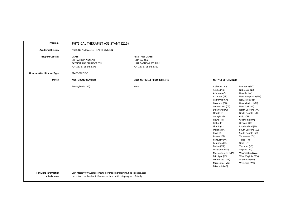| Program:                                      | PHYSICAL THERAPIST ASSISTANT (215)                                                                                                             |                                                                                                 |                                                                                                                                                                                                                                                                                                                                                                                                                                 |                                                                                                                                                                                                                                                                                                                                                                                                                                              |
|-----------------------------------------------|------------------------------------------------------------------------------------------------------------------------------------------------|-------------------------------------------------------------------------------------------------|---------------------------------------------------------------------------------------------------------------------------------------------------------------------------------------------------------------------------------------------------------------------------------------------------------------------------------------------------------------------------------------------------------------------------------|----------------------------------------------------------------------------------------------------------------------------------------------------------------------------------------------------------------------------------------------------------------------------------------------------------------------------------------------------------------------------------------------------------------------------------------------|
| <b>Academic Division:</b>                     | NURSING AND ALLIED HEALTH DIVISION                                                                                                             |                                                                                                 |                                                                                                                                                                                                                                                                                                                                                                                                                                 |                                                                                                                                                                                                                                                                                                                                                                                                                                              |
| <b>Program Contact:</b>                       | <b>DEAN:</b><br>DR. PATRICIA ANNEAR<br>PATRICIA.ANNEAR@BC3.EDU<br>724-287-8711 ext. 8275                                                       | <b>ASSISTANT DEAN:</b><br><b>JULIA CARNEY</b><br>JULIA.CARNEY@BC3.EDU<br>724-287-8711 ext. 8362 |                                                                                                                                                                                                                                                                                                                                                                                                                                 |                                                                                                                                                                                                                                                                                                                                                                                                                                              |
| <b>Licensure/Certification Type:</b>          | STATE-SPECIFIC                                                                                                                                 |                                                                                                 |                                                                                                                                                                                                                                                                                                                                                                                                                                 |                                                                                                                                                                                                                                                                                                                                                                                                                                              |
| States:                                       | <b>MEETS REQUIREMENTS</b>                                                                                                                      | DOES NOT MEET REQUIREMENTS                                                                      | <b>NOT YET DETERMINED</b>                                                                                                                                                                                                                                                                                                                                                                                                       |                                                                                                                                                                                                                                                                                                                                                                                                                                              |
|                                               | Pennsylvania (PA)                                                                                                                              | None                                                                                            | Alabama (AL)<br>Alaska (AK)<br>Arizona (AZ)<br>Arkansas (AR)<br>California (CA)<br>Colorado (CO)<br>Connecticut (CT)<br>Delaware (DE)<br>Florida (FL)<br>Georgia (GA)<br>Hawaii (HI)<br>Idaho (ID)<br>Illinois (IL)<br>Indiana (IN)<br>lowa (IA)<br>Kansas (KS)<br>Kentucky (KY)<br>Louisiana (LA)<br>Maine (ME)<br>Maryland (MD)<br>Massachusetts (MA)<br>Michigan (MI)<br>Minnesota (MN)<br>Mississippi (MS)<br>Missouri (MO) | Montana (MT)<br>Nebraska (NE)<br>Nevada (NV)<br>New Hampshire (NH)<br>New Jersey (NJ)<br>New Mexico (NM)<br>New York (NY)<br>North Carolina (NC)<br>North Dakota (ND)<br>Ohio (OH)<br>Oklahoma (OK)<br>Oregon (OR)<br>Rhode Island (RI)<br>South Carolina (SC)<br>South Dakota (SD)<br>Tennessee (TN)<br>Texas (TX)<br>Utah (UT)<br>Vermont (VT)<br>Virginia (VA)<br>Washington (WA)<br>West Virginia (WV)<br>Wisconsin (WI)<br>Wyoming (WY) |
| <b>For More Information</b><br>or Assistance: | Visit https://www.careeronestop.org/Toolkit/Training/find-licenses.aspx<br>or contact the Academic Dean associated with this program of study. |                                                                                                 |                                                                                                                                                                                                                                                                                                                                                                                                                                 |                                                                                                                                                                                                                                                                                                                                                                                                                                              |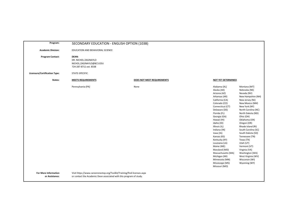| Program:                                      | SECONDARY EDUCATION - ENGLISH OPTION (103B)                                                                                                    |                            |                                                                                                                                                                                                                                                                                                                                                                                                                                 |                                                                                                                                                                                                                                                                                                                                                                                                                                              |
|-----------------------------------------------|------------------------------------------------------------------------------------------------------------------------------------------------|----------------------------|---------------------------------------------------------------------------------------------------------------------------------------------------------------------------------------------------------------------------------------------------------------------------------------------------------------------------------------------------------------------------------------------------------------------------------|----------------------------------------------------------------------------------------------------------------------------------------------------------------------------------------------------------------------------------------------------------------------------------------------------------------------------------------------------------------------------------------------------------------------------------------------|
| <b>Academic Division:</b>                     | EDUCATION AND BEHAVIORAL SCIENCE                                                                                                               |                            |                                                                                                                                                                                                                                                                                                                                                                                                                                 |                                                                                                                                                                                                                                                                                                                                                                                                                                              |
| <b>Program Contact:</b>                       | <b>DEAN:</b><br>DR. NICHOL ZAGINAYLO<br>NICHOL.ZAGINAYLO@BC3.EDU<br>724-287-8711 ext. 8338                                                     |                            |                                                                                                                                                                                                                                                                                                                                                                                                                                 |                                                                                                                                                                                                                                                                                                                                                                                                                                              |
| Licensure/Certification Type:                 | STATE-SPECIFIC                                                                                                                                 |                            |                                                                                                                                                                                                                                                                                                                                                                                                                                 |                                                                                                                                                                                                                                                                                                                                                                                                                                              |
| States:                                       | <b>MEETS REQUIREMENTS</b>                                                                                                                      | DOES NOT MEET REQUIREMENTS | <b>NOT YET DETERMINED</b>                                                                                                                                                                                                                                                                                                                                                                                                       |                                                                                                                                                                                                                                                                                                                                                                                                                                              |
|                                               | Pennsylvania (PA)                                                                                                                              | None                       | Alabama (AL)<br>Alaska (AK)<br>Arizona (AZ)<br>Arkansas (AR)<br>California (CA)<br>Colorado (CO)<br>Connecticut (CT)<br>Delaware (DE)<br>Florida (FL)<br>Georgia (GA)<br>Hawaii (HI)<br>Idaho (ID)<br>Illinois (IL)<br>Indiana (IN)<br>Iowa (IA)<br>Kansas (KS)<br>Kentucky (KY)<br>Louisiana (LA)<br>Maine (ME)<br>Maryland (MD)<br>Massachusetts (MA)<br>Michigan (MI)<br>Minnesota (MN)<br>Mississippi (MS)<br>Missouri (MO) | Montana (MT)<br>Nebraska (NE)<br>Nevada (NV)<br>New Hampshire (NH)<br>New Jersey (NJ)<br>New Mexico (NM)<br>New York (NY)<br>North Carolina (NC)<br>North Dakota (ND)<br>Ohio (OH)<br>Oklahoma (OK)<br>Oregon (OR)<br>Rhode Island (RI)<br>South Carolina (SC)<br>South Dakota (SD)<br>Tennessee (TN)<br>Texas (TX)<br>Utah (UT)<br>Vermont (VT)<br>Virginia (VA)<br>Washington (WA)<br>West Virginia (WV)<br>Wisconsin (WI)<br>Wyoming (WY) |
| <b>For More Information</b><br>or Assistance: | Visit https://www.careeronestop.org/Toolkit/Training/find-licenses.aspx<br>or contact the Academic Dean associated with this program of study. |                            |                                                                                                                                                                                                                                                                                                                                                                                                                                 |                                                                                                                                                                                                                                                                                                                                                                                                                                              |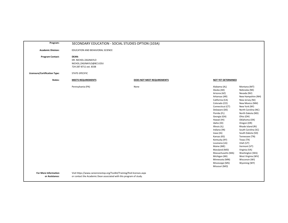| Program:                                      | SECONDARY EDUCATION - SOCIAL STUDIES OPTION (103A)                                                                                             |                            |                                                                                                                                                                                                                                                                                                                                                                                                                                 |                                                                                                                                                                                                                                                                                                                                                                                                                                              |
|-----------------------------------------------|------------------------------------------------------------------------------------------------------------------------------------------------|----------------------------|---------------------------------------------------------------------------------------------------------------------------------------------------------------------------------------------------------------------------------------------------------------------------------------------------------------------------------------------------------------------------------------------------------------------------------|----------------------------------------------------------------------------------------------------------------------------------------------------------------------------------------------------------------------------------------------------------------------------------------------------------------------------------------------------------------------------------------------------------------------------------------------|
| <b>Academic Division:</b>                     | EDUCATION AND BEHAVIORAL SCIENCE                                                                                                               |                            |                                                                                                                                                                                                                                                                                                                                                                                                                                 |                                                                                                                                                                                                                                                                                                                                                                                                                                              |
| <b>Program Contact:</b>                       | DEAN:<br>DR. NICHOL ZAGINAYLO<br>NICHOL.ZAGINAYLO@BC3.EDU<br>724-287-8711 ext. 8338                                                            |                            |                                                                                                                                                                                                                                                                                                                                                                                                                                 |                                                                                                                                                                                                                                                                                                                                                                                                                                              |
| Licensure/Certification Type:                 | STATE-SPECIFIC                                                                                                                                 |                            |                                                                                                                                                                                                                                                                                                                                                                                                                                 |                                                                                                                                                                                                                                                                                                                                                                                                                                              |
| States:                                       | <b>MEETS REQUIREMENTS</b>                                                                                                                      | DOES NOT MEET REQUIREMENTS | <b>NOT YET DETERMINED</b>                                                                                                                                                                                                                                                                                                                                                                                                       |                                                                                                                                                                                                                                                                                                                                                                                                                                              |
|                                               | Pennsylvania (PA)                                                                                                                              | None                       | Alabama (AL)<br>Alaska (AK)<br>Arizona (AZ)<br>Arkansas (AR)<br>California (CA)<br>Colorado (CO)<br>Connecticut (CT)<br>Delaware (DE)<br>Florida (FL)<br>Georgia (GA)<br>Hawaii (HI)<br>Idaho (ID)<br>Illinois (IL)<br>Indiana (IN)<br>Iowa (IA)<br>Kansas (KS)<br>Kentucky (KY)<br>Louisiana (LA)<br>Maine (ME)<br>Maryland (MD)<br>Massachusetts (MA)<br>Michigan (MI)<br>Minnesota (MN)<br>Mississippi (MS)<br>Missouri (MO) | Montana (MT)<br>Nebraska (NE)<br>Nevada (NV)<br>New Hampshire (NH)<br>New Jersey (NJ)<br>New Mexico (NM)<br>New York (NY)<br>North Carolina (NC)<br>North Dakota (ND)<br>Ohio (OH)<br>Oklahoma (OK)<br>Oregon (OR)<br>Rhode Island (RI)<br>South Carolina (SC)<br>South Dakota (SD)<br>Tennessee (TN)<br>Texas (TX)<br>Utah (UT)<br>Vermont (VT)<br>Virginia (VA)<br>Washington (WA)<br>West Virginia (WV)<br>Wisconsin (WI)<br>Wyoming (WY) |
| <b>For More Information</b><br>or Assistance: | Visit https://www.careeronestop.org/Toolkit/Training/find-licenses.aspx<br>or contact the Academic Dean associated with this program of study. |                            |                                                                                                                                                                                                                                                                                                                                                                                                                                 |                                                                                                                                                                                                                                                                                                                                                                                                                                              |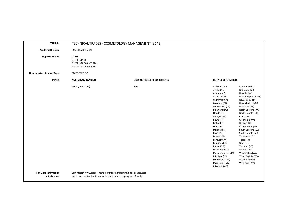| Program:                      |                                                                                              | TECHNICAL TRADES - COSMETOLOGY MANAGEMENT (314B) |                                                                                                                                                                                                                                                                                                                                                                                                                                 |                                                                                                                                                                                                                                                                                                                                                                                                                                              |
|-------------------------------|----------------------------------------------------------------------------------------------|--------------------------------------------------|---------------------------------------------------------------------------------------------------------------------------------------------------------------------------------------------------------------------------------------------------------------------------------------------------------------------------------------------------------------------------------------------------------------------------------|----------------------------------------------------------------------------------------------------------------------------------------------------------------------------------------------------------------------------------------------------------------------------------------------------------------------------------------------------------------------------------------------------------------------------------------------|
| <b>Academic Division:</b>     | <b>BUSINESS DIVISION</b>                                                                     |                                                  |                                                                                                                                                                                                                                                                                                                                                                                                                                 |                                                                                                                                                                                                                                                                                                                                                                                                                                              |
| <b>Program Contact:</b>       | DEAN:<br><b>SHERRI MACK</b><br>SHERRI.MACK@BC3.EDU<br>724-287-8711 ext. 8247                 |                                                  |                                                                                                                                                                                                                                                                                                                                                                                                                                 |                                                                                                                                                                                                                                                                                                                                                                                                                                              |
| Licensure/Certification Type: | STATE-SPECIFIC                                                                               |                                                  |                                                                                                                                                                                                                                                                                                                                                                                                                                 |                                                                                                                                                                                                                                                                                                                                                                                                                                              |
| States:                       | <b>MEETS REQUIREMENTS</b>                                                                    | DOES NOT MEET REQUIREMENTS                       | NOT YET DETERMINED                                                                                                                                                                                                                                                                                                                                                                                                              |                                                                                                                                                                                                                                                                                                                                                                                                                                              |
| <b>For More Information</b>   | Pennsylvania (PA)<br>Visit https://www.careeronestop.org/Toolkit/Training/find-licenses.aspx | None                                             | Alabama (AL)<br>Alaska (AK)<br>Arizona (AZ)<br>Arkansas (AR)<br>California (CA)<br>Colorado (CO)<br>Connecticut (CT)<br>Delaware (DE)<br>Florida (FL)<br>Georgia (GA)<br>Hawaii (HI)<br>Idaho (ID)<br>Illinois (IL)<br>Indiana (IN)<br>lowa (IA)<br>Kansas (KS)<br>Kentucky (KY)<br>Louisiana (LA)<br>Maine (ME)<br>Maryland (MD)<br>Massachusetts (MA)<br>Michigan (MI)<br>Minnesota (MN)<br>Mississippi (MS)<br>Missouri (MO) | Montana (MT)<br>Nebraska (NE)<br>Nevada (NV)<br>New Hampshire (NH)<br>New Jersey (NJ)<br>New Mexico (NM)<br>New York (NY)<br>North Carolina (NC)<br>North Dakota (ND)<br>Ohio (OH)<br>Oklahoma (OK)<br>Oregon (OR)<br>Rhode Island (RI)<br>South Carolina (SC)<br>South Dakota (SD)<br>Tennessee (TN)<br>Texas (TX)<br>Utah (UT)<br>Vermont (VT)<br>Virginia (VA)<br>Washington (WA)<br>West Virginia (WV)<br>Wisconsin (WI)<br>Wyoming (WY) |
| or Assistance:                | or contact the Academic Dean associated with this program of study.                          |                                                  |                                                                                                                                                                                                                                                                                                                                                                                                                                 |                                                                                                                                                                                                                                                                                                                                                                                                                                              |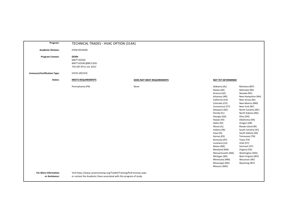| Program:                                      | TECHNICAL TRADES - HVAC OPTION (314A)                                                                                                          |                            |                                                                                                                                                                                                                                                                                                                                                                                                                                 |                                                                                                                                                                                                                                                                                                                                                                                                                                              |
|-----------------------------------------------|------------------------------------------------------------------------------------------------------------------------------------------------|----------------------------|---------------------------------------------------------------------------------------------------------------------------------------------------------------------------------------------------------------------------------------------------------------------------------------------------------------------------------------------------------------------------------------------------------------------------------|----------------------------------------------------------------------------------------------------------------------------------------------------------------------------------------------------------------------------------------------------------------------------------------------------------------------------------------------------------------------------------------------------------------------------------------------|
| <b>Academic Division:</b>                     | <b>STEM DIVISION</b>                                                                                                                           |                            |                                                                                                                                                                                                                                                                                                                                                                                                                                 |                                                                                                                                                                                                                                                                                                                                                                                                                                              |
| <b>Program Contact:</b>                       | <b>DEAN:</b><br><b>MATT KOVAC</b><br>MATT.KOVAC@BC3.EDU<br>724-287-8711 ext. 8312                                                              |                            |                                                                                                                                                                                                                                                                                                                                                                                                                                 |                                                                                                                                                                                                                                                                                                                                                                                                                                              |
| <b>Licensure/Certification Type:</b>          | STATE-SPECIFIC                                                                                                                                 |                            |                                                                                                                                                                                                                                                                                                                                                                                                                                 |                                                                                                                                                                                                                                                                                                                                                                                                                                              |
| States:                                       | <b>MEETS REQUIREMENTS</b>                                                                                                                      | DOES NOT MEET REQUIREMENTS | <b>NOT YET DETERMINED</b>                                                                                                                                                                                                                                                                                                                                                                                                       |                                                                                                                                                                                                                                                                                                                                                                                                                                              |
|                                               | Pennsylvania (PA)                                                                                                                              | None                       | Alabama (AL)<br>Alaska (AK)<br>Arizona (AZ)<br>Arkansas (AR)<br>California (CA)<br>Colorado (CO)<br>Connecticut (CT)<br>Delaware (DE)<br>Florida (FL)<br>Georgia (GA)<br>Hawaii (HI)<br>Idaho (ID)<br>Illinois (IL)<br>Indiana (IN)<br>lowa (IA)<br>Kansas (KS)<br>Kentucky (KY)<br>Louisiana (LA)<br>Maine (ME)<br>Maryland (MD)<br>Massachusetts (MA)<br>Michigan (MI)<br>Minnesota (MN)<br>Mississippi (MS)<br>Missouri (MO) | Montana (MT)<br>Nebraska (NE)<br>Nevada (NV)<br>New Hampshire (NH)<br>New Jersey (NJ)<br>New Mexico (NM)<br>New York (NY)<br>North Carolina (NC)<br>North Dakota (ND)<br>Ohio (OH)<br>Oklahoma (OK)<br>Oregon (OR)<br>Rhode Island (RI)<br>South Carolina (SC)<br>South Dakota (SD)<br>Tennessee (TN)<br>Texas (TX)<br>Utah (UT)<br>Vermont (VT)<br>Virginia (VA)<br>Washington (WA)<br>West Virginia (WV)<br>Wisconsin (WI)<br>Wyoming (WY) |
| <b>For More Information</b><br>or Assistance: | Visit https://www.careeronestop.org/Toolkit/Training/find-licenses.aspx<br>or contact the Academic Dean associated with this program of study. |                            |                                                                                                                                                                                                                                                                                                                                                                                                                                 |                                                                                                                                                                                                                                                                                                                                                                                                                                              |